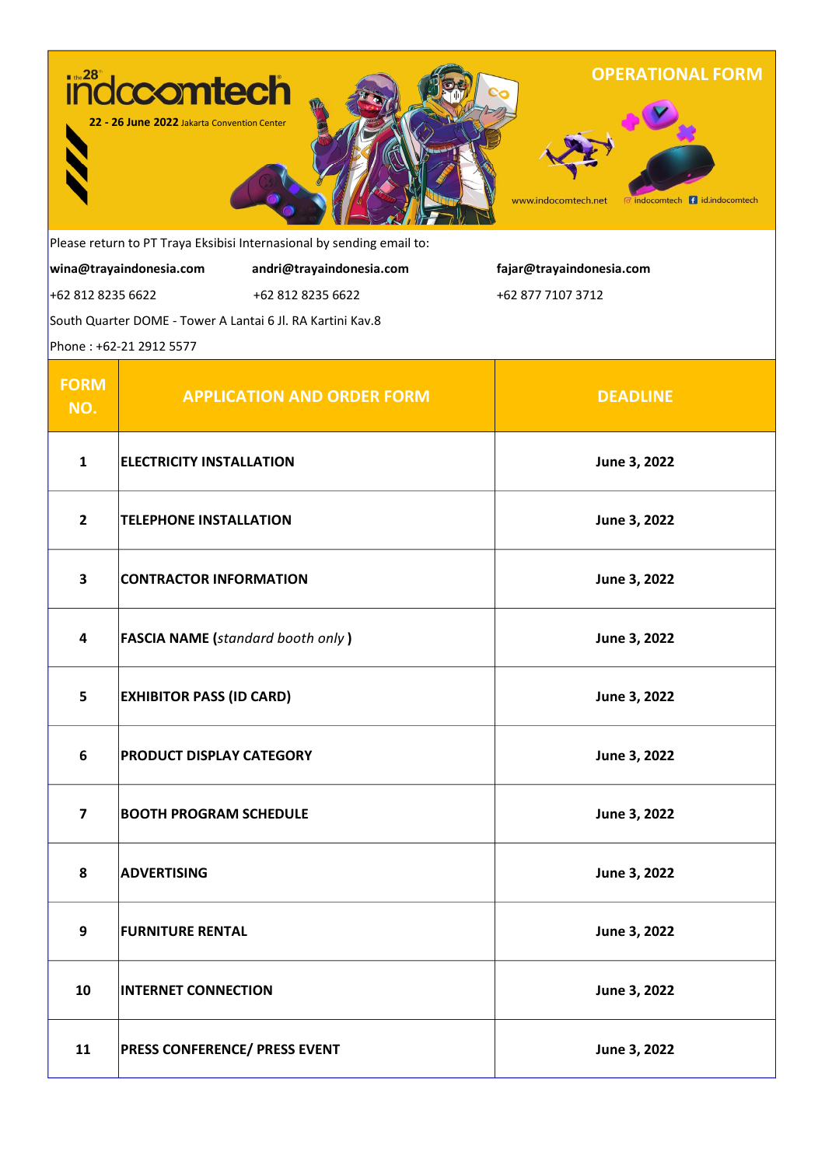

**fajar@trayaindonesia.com** 

+62 877 7107 3712

Please return to PT Traya Eksibisi Internasional by sending email to:

**wina@trayaindonesia.com andri@trayaindonesia.com**

+62 812 8235 6622 +62 812 8235 6622

South Quarter DOME - Tower A Lantai 6 Jl. RA Kartini Kav.8

Phone : +62-21 2912 5577

| <b>FORM</b><br>NO. | <b>APPLICATION AND ORDER FORM</b>        | <b>DEADLINE</b> |
|--------------------|------------------------------------------|-----------------|
| $\mathbf{1}$       | <b>ELECTRICITY INSTALLATION</b>          | June 3, 2022    |
| $\overline{2}$     | <b>TELEPHONE INSTALLATION</b>            | June 3, 2022    |
| $\mathbf{3}$       | <b>CONTRACTOR INFORMATION</b>            | June 3, 2022    |
| 4                  | <b>FASCIA NAME</b> (standard booth only) | June 3, 2022    |
| 5                  | <b>EXHIBITOR PASS (ID CARD)</b>          | June 3, 2022    |
| 6                  | PRODUCT DISPLAY CATEGORY                 | June 3, 2022    |
| $\overline{7}$     | <b>BOOTH PROGRAM SCHEDULE</b>            | June 3, 2022    |
| 8                  | <b>ADVERTISING</b>                       | June 3, 2022    |
| 9                  | <b>FURNITURE RENTAL</b>                  | June 3, 2022    |
| 10                 | <b>INTERNET CONNECTION</b>               | June 3, 2022    |
| 11                 | <b>PRESS CONFERENCE/ PRESS EVENT</b>     | June 3, 2022    |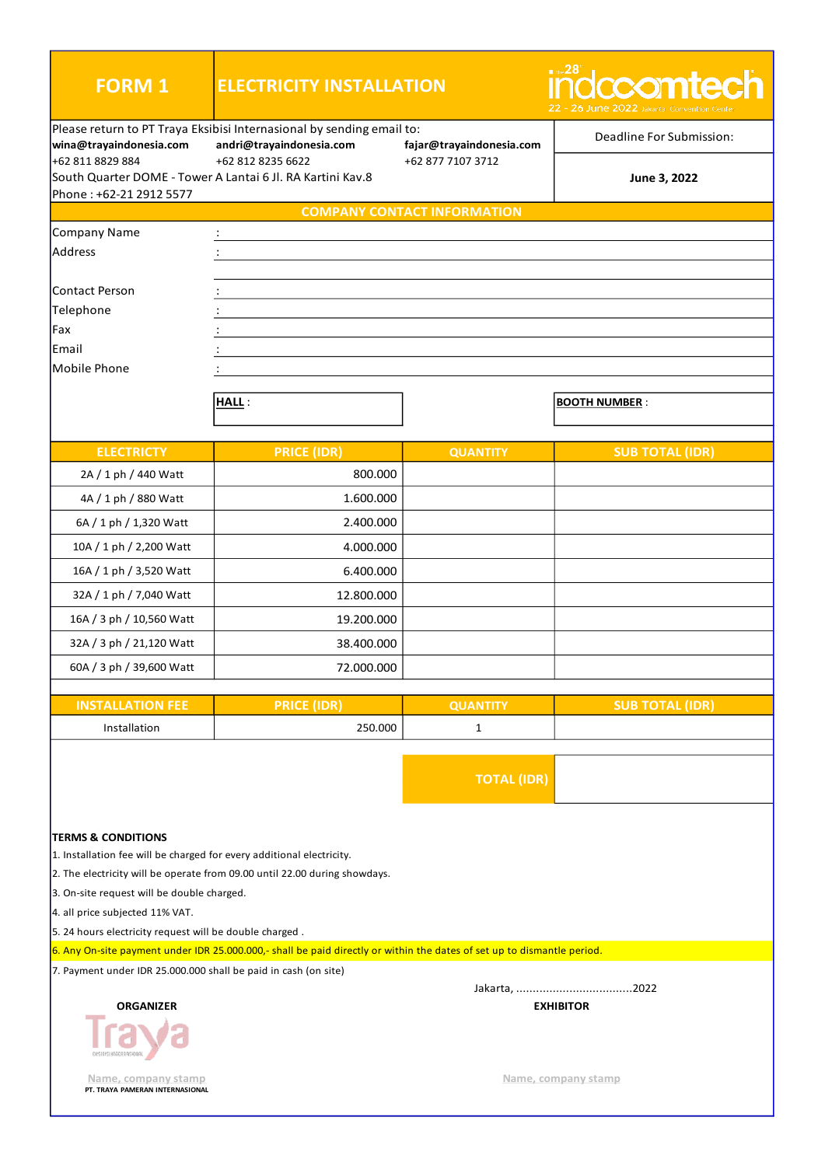| <b>FORM 1</b>                                                                                                                                                                                                                      | <b>ELECTRICITY INSTALLATION</b>                                                                                         | $\blacksquare$ the $28^{\circ}$<br><b>idccontech</b><br>22 - 26 June 2022 Jakarta Convention Center |                          |  |
|------------------------------------------------------------------------------------------------------------------------------------------------------------------------------------------------------------------------------------|-------------------------------------------------------------------------------------------------------------------------|-----------------------------------------------------------------------------------------------------|--------------------------|--|
| wina@trayaindonesia.com                                                                                                                                                                                                            | Please return to PT Traya Eksibisi Internasional by sending email to:<br>andri@trayaindonesia.com                       | fajar@trayaindonesia.com                                                                            | Deadline For Submission: |  |
| +62 811 8829 884                                                                                                                                                                                                                   | +62 812 8235 6622<br>South Quarter DOME - Tower A Lantai 6 Jl. RA Kartini Kav.8                                         | +62 877 7107 3712                                                                                   | June 3, 2022             |  |
| Phone: +62-21 2912 5577                                                                                                                                                                                                            |                                                                                                                         | <b>COMPANY CONTACT INFORMATION</b>                                                                  |                          |  |
|                                                                                                                                                                                                                                    |                                                                                                                         |                                                                                                     |                          |  |
| Company Name<br>Address                                                                                                                                                                                                            |                                                                                                                         |                                                                                                     |                          |  |
|                                                                                                                                                                                                                                    |                                                                                                                         |                                                                                                     |                          |  |
| Contact Person                                                                                                                                                                                                                     |                                                                                                                         |                                                                                                     |                          |  |
| Telephone                                                                                                                                                                                                                          |                                                                                                                         |                                                                                                     |                          |  |
| Fax                                                                                                                                                                                                                                |                                                                                                                         |                                                                                                     |                          |  |
| Email                                                                                                                                                                                                                              |                                                                                                                         |                                                                                                     |                          |  |
| Mobile Phone                                                                                                                                                                                                                       |                                                                                                                         |                                                                                                     |                          |  |
|                                                                                                                                                                                                                                    |                                                                                                                         |                                                                                                     |                          |  |
|                                                                                                                                                                                                                                    | HALL:                                                                                                                   |                                                                                                     | <b>BOOTH NUMBER:</b>     |  |
|                                                                                                                                                                                                                                    |                                                                                                                         |                                                                                                     |                          |  |
| <b>ELECTRICTY</b>                                                                                                                                                                                                                  | <b>PRICE (IDR)</b>                                                                                                      | <b>QUANTITY</b>                                                                                     | <b>SUB TOTAL (IDR)</b>   |  |
| 2A / 1 ph / 440 Watt                                                                                                                                                                                                               | 800.000                                                                                                                 |                                                                                                     |                          |  |
| 4A / 1 ph / 880 Watt                                                                                                                                                                                                               | 1.600.000                                                                                                               |                                                                                                     |                          |  |
| 6A / 1 ph / 1,320 Watt                                                                                                                                                                                                             | 2.400.000                                                                                                               |                                                                                                     |                          |  |
| 10A / 1 ph / 2,200 Watt                                                                                                                                                                                                            | 4.000.000                                                                                                               |                                                                                                     |                          |  |
| 16A / 1 ph / 3,520 Watt                                                                                                                                                                                                            | 6.400.000                                                                                                               |                                                                                                     |                          |  |
| 32A / 1 ph / 7,040 Watt                                                                                                                                                                                                            | 12.800.000                                                                                                              |                                                                                                     |                          |  |
| 16A / 3 ph / 10,560 Watt                                                                                                                                                                                                           | 19.200.000                                                                                                              |                                                                                                     |                          |  |
| 32A / 3 ph / 21,120 Watt                                                                                                                                                                                                           | 38.400.000                                                                                                              |                                                                                                     |                          |  |
| 60A / 3 ph / 39,600 Watt                                                                                                                                                                                                           | 72.000.000                                                                                                              |                                                                                                     |                          |  |
|                                                                                                                                                                                                                                    |                                                                                                                         |                                                                                                     |                          |  |
| <b>INSTALLATION FEE</b>                                                                                                                                                                                                            | <b>PRICE (IDR)</b>                                                                                                      | <b>QUANTITY</b>                                                                                     | <b>SUB TOTAL (IDR)</b>   |  |
| Installation                                                                                                                                                                                                                       | 250.000                                                                                                                 | $\mathbf{1}$                                                                                        |                          |  |
|                                                                                                                                                                                                                                    |                                                                                                                         | <b>TOTAL (IDR)</b>                                                                                  |                          |  |
| <b>TERMS &amp; CONDITIONS</b><br>1. Installation fee will be charged for every additional electricity.<br>2. The electricity will be operate from 09.00 until 22.00 during showdays.<br>3. On-site request will be double charged. |                                                                                                                         |                                                                                                     |                          |  |
| 4. all price subjected 11% VAT.<br>5. 24 hours electricity request will be double charged.                                                                                                                                         |                                                                                                                         |                                                                                                     |                          |  |
|                                                                                                                                                                                                                                    | 6. Any On-site payment under IDR 25.000.000,- shall be paid directly or within the dates of set up to dismantle period. |                                                                                                     |                          |  |
| 7. Payment under IDR 25.000.000 shall be paid in cash (on site)                                                                                                                                                                    |                                                                                                                         |                                                                                                     |                          |  |
| <b>ORGANIZER</b>                                                                                                                                                                                                                   |                                                                                                                         |                                                                                                     | <b>EXHIBITOR</b>         |  |
| Name, company stamp<br>PT. TRAYA PAMERAN INTERNASIONAL                                                                                                                                                                             |                                                                                                                         |                                                                                                     | Name, company stamp      |  |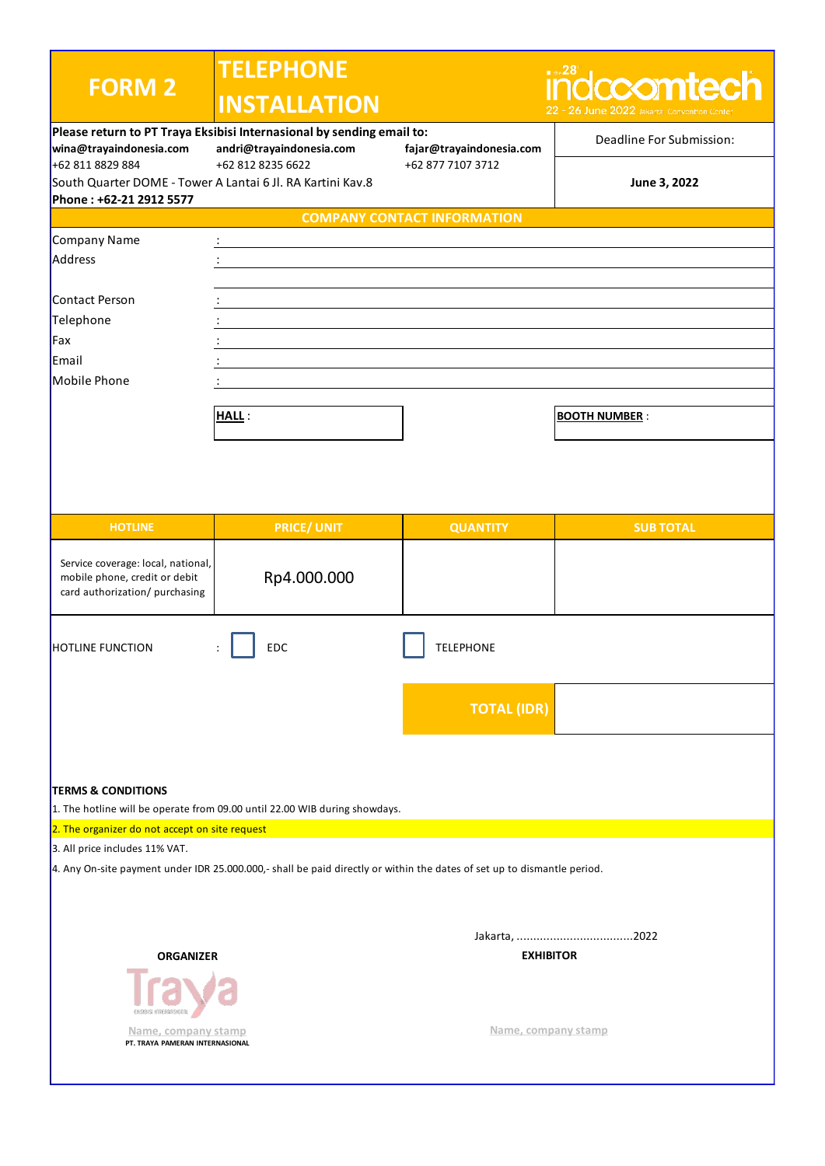| <b>FORM 2</b>                                                 | <b>TELEPHONE</b>                                                                                                        |                                               | $\blacksquare$ the $28^\circ$<br><u>idccomtech</u> |
|---------------------------------------------------------------|-------------------------------------------------------------------------------------------------------------------------|-----------------------------------------------|----------------------------------------------------|
|                                                               | <b>INSTALLATION</b>                                                                                                     |                                               | 22 - 26 June 2022 Jakarta Convention Cente         |
|                                                               | Please return to PT Traya Eksibisi Internasional by sending email to:                                                   |                                               | Deadline For Submission:                           |
| wina@trayaindonesia.com<br>+62 811 8829 884                   | andri@trayaindonesia.com<br>+62 812 8235 6622                                                                           | fajar@trayaindonesia.com<br>+62 877 7107 3712 |                                                    |
| South Quarter DOME - Tower A Lantai 6 Jl. RA Kartini Kav.8    |                                                                                                                         |                                               | June 3, 2022                                       |
| Phone: +62-21 2912 5577                                       |                                                                                                                         |                                               |                                                    |
|                                                               |                                                                                                                         | <b>COMPANY CONTACT INFORMATION</b>            |                                                    |
| Company Name                                                  |                                                                                                                         |                                               |                                                    |
| Address                                                       |                                                                                                                         |                                               |                                                    |
|                                                               |                                                                                                                         |                                               |                                                    |
| Contact Person                                                |                                                                                                                         |                                               |                                                    |
| Telephone                                                     |                                                                                                                         |                                               |                                                    |
| Fax                                                           |                                                                                                                         |                                               |                                                    |
| Email                                                         |                                                                                                                         |                                               |                                                    |
| Mobile Phone                                                  |                                                                                                                         |                                               |                                                    |
|                                                               | <b>HALL:</b>                                                                                                            |                                               | <b>BOOTH NUMBER:</b>                               |
|                                                               |                                                                                                                         |                                               |                                                    |
|                                                               |                                                                                                                         |                                               |                                                    |
|                                                               |                                                                                                                         |                                               |                                                    |
|                                                               |                                                                                                                         |                                               |                                                    |
|                                                               |                                                                                                                         |                                               |                                                    |
| <b>HOTLINE</b>                                                | <b>PRICE/ UNIT</b>                                                                                                      | <b>QUANTITY</b>                               | <b>SUB TOTAL</b>                                   |
| Service coverage: local, national,                            |                                                                                                                         |                                               |                                                    |
| mobile phone, credit or debit                                 | Rp4.000.000                                                                                                             |                                               |                                                    |
| card authorization/ purchasing                                |                                                                                                                         |                                               |                                                    |
|                                                               |                                                                                                                         |                                               |                                                    |
| <b>HOTLINE FUNCTION</b>                                       | EDC                                                                                                                     | <b>TELEPHONE</b>                              |                                                    |
|                                                               |                                                                                                                         |                                               |                                                    |
|                                                               |                                                                                                                         |                                               |                                                    |
|                                                               |                                                                                                                         | <b>TOTAL (IDR)</b>                            |                                                    |
|                                                               |                                                                                                                         |                                               |                                                    |
|                                                               |                                                                                                                         |                                               |                                                    |
|                                                               |                                                                                                                         |                                               |                                                    |
| <b>TERMS &amp; CONDITIONS</b>                                 |                                                                                                                         |                                               |                                                    |
|                                                               | 1. The hotline will be operate from 09.00 until 22.00 WIB during showdays.                                              |                                               |                                                    |
| 2. The organizer do not accept on site request                |                                                                                                                         |                                               |                                                    |
| 3. All price includes 11% VAT.                                |                                                                                                                         |                                               |                                                    |
|                                                               | 4. Any On-site payment under IDR 25.000.000,- shall be paid directly or within the dates of set up to dismantle period. |                                               |                                                    |
|                                                               |                                                                                                                         |                                               |                                                    |
|                                                               |                                                                                                                         |                                               |                                                    |
|                                                               |                                                                                                                         |                                               |                                                    |
| <b>ORGANIZER</b>                                              |                                                                                                                         | <b>EXHIBITOR</b>                              |                                                    |
|                                                               |                                                                                                                         |                                               |                                                    |
|                                                               |                                                                                                                         |                                               |                                                    |
|                                                               |                                                                                                                         |                                               |                                                    |
| <u>Name, company stamp</u><br>PT. TRAYA PAMERAN INTERNASIONAL |                                                                                                                         | Name, company stamp                           |                                                    |
|                                                               |                                                                                                                         |                                               |                                                    |
|                                                               |                                                                                                                         |                                               |                                                    |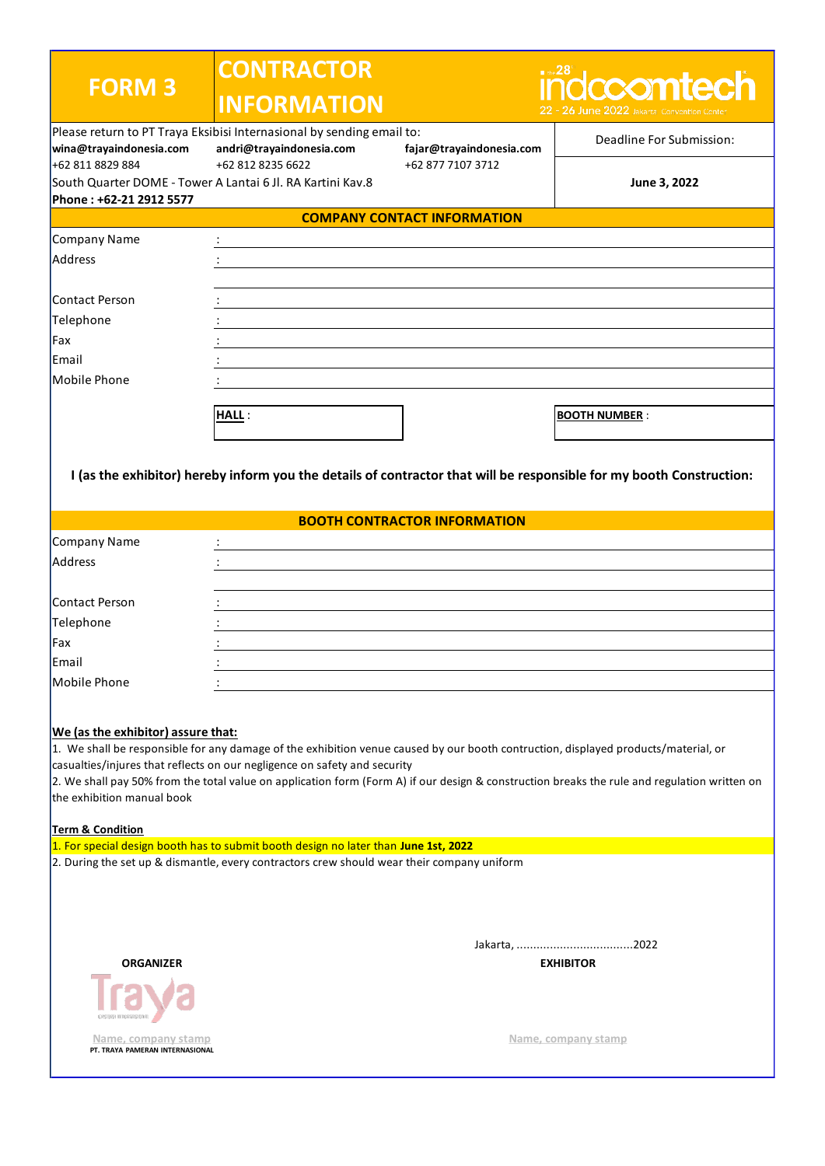| <b>FORM 3</b>                                                                                                                                                                                                                                                                                                                                                                                                                                                      | <b>CONTRACTOR</b><br><b>INFORMATION</b>                                             |                                     | $\blacksquare$ the $28^\circ$<br>ndccomtech                                                                          |  |
|--------------------------------------------------------------------------------------------------------------------------------------------------------------------------------------------------------------------------------------------------------------------------------------------------------------------------------------------------------------------------------------------------------------------------------------------------------------------|-------------------------------------------------------------------------------------|-------------------------------------|----------------------------------------------------------------------------------------------------------------------|--|
|                                                                                                                                                                                                                                                                                                                                                                                                                                                                    | Please return to PT Traya Eksibisi Internasional by sending email to:               |                                     | 22 - 26 June 2022 Jakarta Convention Center                                                                          |  |
| wina@trayaindonesia.com                                                                                                                                                                                                                                                                                                                                                                                                                                            | andri@trayaindonesia.com                                                            | fajar@trayaindonesia.com            | Deadline For Submission:                                                                                             |  |
| +62 811 8829 884                                                                                                                                                                                                                                                                                                                                                                                                                                                   | +62 812 8235 6622                                                                   | +62 877 7107 3712                   |                                                                                                                      |  |
| South Quarter DOME - Tower A Lantai 6 Jl. RA Kartini Kav.8<br>Phone: +62-21 2912 5577                                                                                                                                                                                                                                                                                                                                                                              |                                                                                     |                                     | June 3, 2022                                                                                                         |  |
|                                                                                                                                                                                                                                                                                                                                                                                                                                                                    |                                                                                     | <b>COMPANY CONTACT INFORMATION</b>  |                                                                                                                      |  |
| Company Name                                                                                                                                                                                                                                                                                                                                                                                                                                                       |                                                                                     |                                     |                                                                                                                      |  |
| Address                                                                                                                                                                                                                                                                                                                                                                                                                                                            |                                                                                     |                                     |                                                                                                                      |  |
|                                                                                                                                                                                                                                                                                                                                                                                                                                                                    |                                                                                     |                                     |                                                                                                                      |  |
| Contact Person                                                                                                                                                                                                                                                                                                                                                                                                                                                     |                                                                                     |                                     |                                                                                                                      |  |
| Telephone                                                                                                                                                                                                                                                                                                                                                                                                                                                          |                                                                                     |                                     |                                                                                                                      |  |
| Fax                                                                                                                                                                                                                                                                                                                                                                                                                                                                |                                                                                     |                                     |                                                                                                                      |  |
| Email                                                                                                                                                                                                                                                                                                                                                                                                                                                              |                                                                                     |                                     |                                                                                                                      |  |
| Mobile Phone                                                                                                                                                                                                                                                                                                                                                                                                                                                       |                                                                                     |                                     |                                                                                                                      |  |
|                                                                                                                                                                                                                                                                                                                                                                                                                                                                    |                                                                                     |                                     |                                                                                                                      |  |
|                                                                                                                                                                                                                                                                                                                                                                                                                                                                    | <b>HALL:</b>                                                                        |                                     | <b>BOOTH NUMBER:</b>                                                                                                 |  |
|                                                                                                                                                                                                                                                                                                                                                                                                                                                                    |                                                                                     |                                     |                                                                                                                      |  |
|                                                                                                                                                                                                                                                                                                                                                                                                                                                                    |                                                                                     |                                     | I (as the exhibitor) hereby inform you the details of contractor that will be responsible for my booth Construction: |  |
|                                                                                                                                                                                                                                                                                                                                                                                                                                                                    |                                                                                     | <b>BOOTH CONTRACTOR INFORMATION</b> |                                                                                                                      |  |
| Company Name                                                                                                                                                                                                                                                                                                                                                                                                                                                       |                                                                                     |                                     |                                                                                                                      |  |
| Address                                                                                                                                                                                                                                                                                                                                                                                                                                                            |                                                                                     |                                     |                                                                                                                      |  |
|                                                                                                                                                                                                                                                                                                                                                                                                                                                                    |                                                                                     |                                     |                                                                                                                      |  |
| Contact Person                                                                                                                                                                                                                                                                                                                                                                                                                                                     |                                                                                     |                                     |                                                                                                                      |  |
| Telephone                                                                                                                                                                                                                                                                                                                                                                                                                                                          |                                                                                     |                                     |                                                                                                                      |  |
| Fax                                                                                                                                                                                                                                                                                                                                                                                                                                                                |                                                                                     |                                     |                                                                                                                      |  |
| Email                                                                                                                                                                                                                                                                                                                                                                                                                                                              |                                                                                     |                                     |                                                                                                                      |  |
| Mobile Phone                                                                                                                                                                                                                                                                                                                                                                                                                                                       |                                                                                     |                                     |                                                                                                                      |  |
| We (as the exhibitor) assure that:<br>1. We shall be responsible for any damage of the exhibition venue caused by our booth contruction, displayed products/material, or<br>casualties/injures that reflects on our negligence on safety and security<br>2. We shall pay 50% from the total value on application form (Form A) if our design & construction breaks the rule and regulation written on<br>the exhibition manual book<br><b>Term &amp; Condition</b> |                                                                                     |                                     |                                                                                                                      |  |
|                                                                                                                                                                                                                                                                                                                                                                                                                                                                    | 1. For special design booth has to submit booth design no later than June 1st, 2022 |                                     |                                                                                                                      |  |
| 2. During the set up & dismantle, every contractors crew should wear their company uniform                                                                                                                                                                                                                                                                                                                                                                         |                                                                                     |                                     |                                                                                                                      |  |
|                                                                                                                                                                                                                                                                                                                                                                                                                                                                    |                                                                                     |                                     |                                                                                                                      |  |
| <b>ORGANIZER</b>                                                                                                                                                                                                                                                                                                                                                                                                                                                   |                                                                                     |                                     | <b>EXHIBITOR</b>                                                                                                     |  |
|                                                                                                                                                                                                                                                                                                                                                                                                                                                                    |                                                                                     |                                     |                                                                                                                      |  |
| <u>Name, company stamp</u><br>PT. TRAYA PAMERAN INTERNASIONAL                                                                                                                                                                                                                                                                                                                                                                                                      |                                                                                     |                                     | Name, company stamp                                                                                                  |  |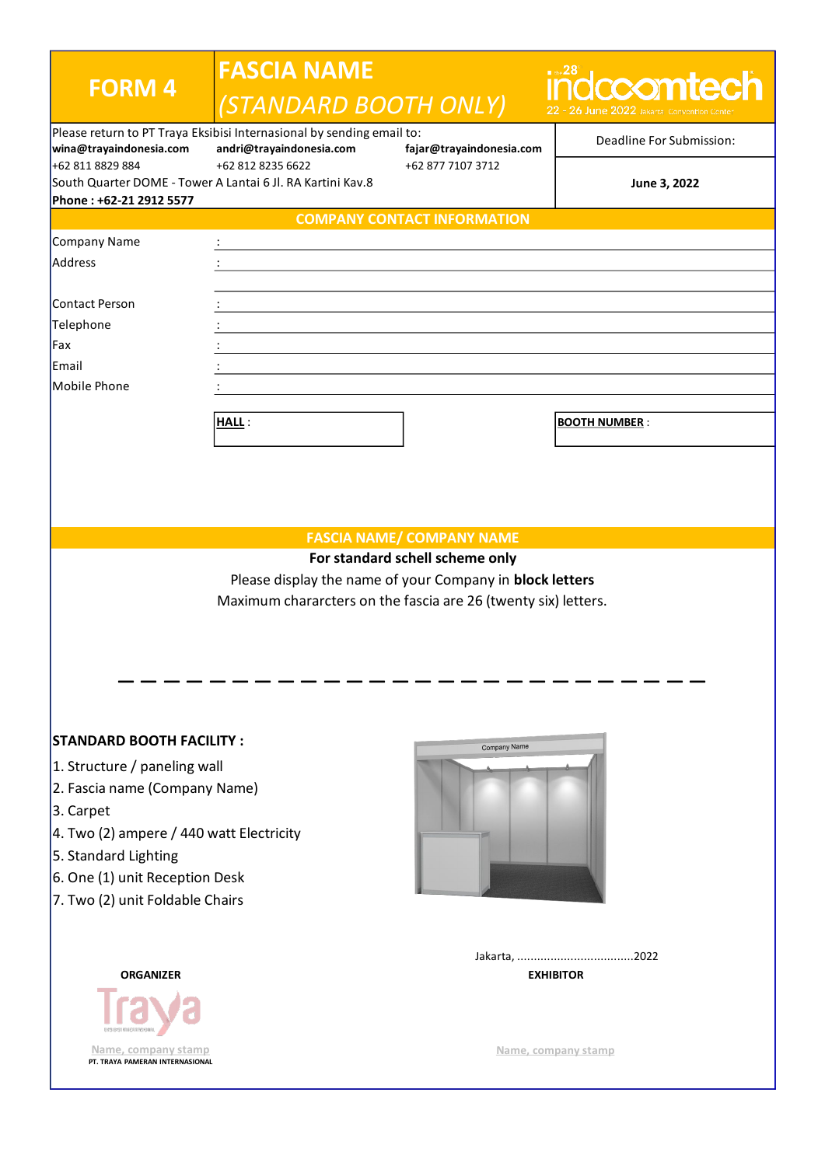| <b>FORM 4</b>                                          | <b>FASCIA NAME</b><br>(STANDARD BOOTH ONLY)                                                                                |                                    | ∎ ⊕∘28<br>dccomtech      |
|--------------------------------------------------------|----------------------------------------------------------------------------------------------------------------------------|------------------------------------|--------------------------|
| wina@trayaindonesia.com                                | Please return to PT Traya Eksibisi Internasional by sending email to:<br>andri@trayaindonesia.com                          | fajar@trayaindonesia.com           | Deadline For Submission: |
| +62 811 8829 884<br>Phone: +62-21 2912 5577            | +62 812 8235 6622<br>South Quarter DOME - Tower A Lantai 6 Jl. RA Kartini Kav.8                                            | +62 877 7107 3712                  | June 3, 2022             |
|                                                        |                                                                                                                            | <b>COMPANY CONTACT INFORMATION</b> |                          |
| Company Name                                           |                                                                                                                            |                                    |                          |
| Address                                                |                                                                                                                            |                                    |                          |
|                                                        |                                                                                                                            |                                    |                          |
| Contact Person                                         |                                                                                                                            |                                    |                          |
| Telephone                                              |                                                                                                                            |                                    |                          |
| Fax                                                    |                                                                                                                            |                                    |                          |
| <b>IEmail</b>                                          |                                                                                                                            |                                    |                          |
| Mobile Phone                                           |                                                                                                                            |                                    |                          |
|                                                        |                                                                                                                            |                                    |                          |
|                                                        | <b>HALL:</b>                                                                                                               |                                    | <b>BOOTH NUMBER:</b>     |
|                                                        |                                                                                                                            |                                    |                          |
|                                                        |                                                                                                                            |                                    |                          |
|                                                        |                                                                                                                            | <b>FASCIA NAME/ COMPANY NAME</b>   |                          |
|                                                        |                                                                                                                            | For standard schell scheme only    |                          |
|                                                        | Please display the name of your Company in block letters<br>Maximum chararcters on the fascia are 26 (twenty six) letters. |                                    |                          |
| <b>STANDARD BOOTH FACILITY:</b>                        |                                                                                                                            |                                    |                          |
| 1. Structure / paneling wall                           |                                                                                                                            | Company Name                       |                          |
|                                                        |                                                                                                                            |                                    |                          |
| 2. Fascia name (Company Name)                          |                                                                                                                            |                                    |                          |
| 3. Carpet                                              |                                                                                                                            |                                    |                          |
| 4. Two (2) ampere / 440 watt Electricity               |                                                                                                                            |                                    |                          |
| 5. Standard Lighting                                   |                                                                                                                            |                                    |                          |
| 6. One (1) unit Reception Desk                         |                                                                                                                            |                                    |                          |
| 7. Two (2) unit Foldable Chairs                        |                                                                                                                            |                                    |                          |
|                                                        |                                                                                                                            |                                    |                          |
| <b>ORGANIZER</b>                                       |                                                                                                                            |                                    | <b>EXHIBITOR</b>         |
| Name, company stamp<br>PT. TRAYA PAMERAN INTERNASIONAL |                                                                                                                            |                                    | Name, company stamp      |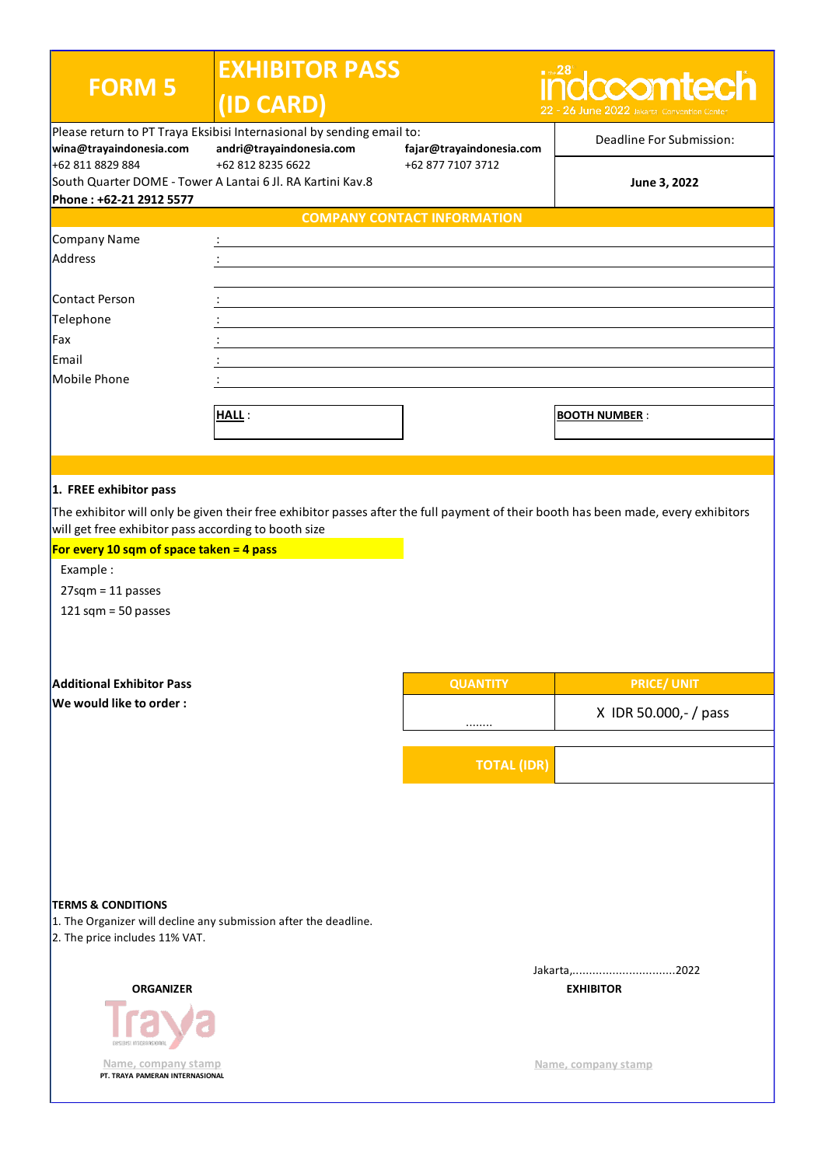| <b>FORM 5</b>                                                                                                                                                 | <b>EXHIBITOR PASS</b><br>(ID CARD)                                              |                                    | $\blacksquare$ the 28<br>dccomtech<br>22 - 26 June 2022 Jakarta Convention                                                         |  |
|---------------------------------------------------------------------------------------------------------------------------------------------------------------|---------------------------------------------------------------------------------|------------------------------------|------------------------------------------------------------------------------------------------------------------------------------|--|
| Please return to PT Traya Eksibisi Internasional by sending email to:<br>wina@trayaindonesia.com<br>andri@trayaindonesia.com                                  |                                                                                 | fajar@trayaindonesia.com           | Deadline For Submission:                                                                                                           |  |
| +62 811 8829 884<br>Phone: +62-21 2912 5577                                                                                                                   | +62 812 8235 6622<br>South Quarter DOME - Tower A Lantai 6 Jl. RA Kartini Kav.8 | +62 877 7107 3712                  | June 3, 2022                                                                                                                       |  |
|                                                                                                                                                               |                                                                                 | <b>COMPANY CONTACT INFORMATION</b> |                                                                                                                                    |  |
| Company Name                                                                                                                                                  |                                                                                 |                                    |                                                                                                                                    |  |
| Address                                                                                                                                                       |                                                                                 |                                    |                                                                                                                                    |  |
|                                                                                                                                                               |                                                                                 |                                    |                                                                                                                                    |  |
| Contact Person                                                                                                                                                |                                                                                 |                                    |                                                                                                                                    |  |
| Telephone                                                                                                                                                     |                                                                                 |                                    |                                                                                                                                    |  |
| Fax                                                                                                                                                           |                                                                                 |                                    |                                                                                                                                    |  |
| Email                                                                                                                                                         |                                                                                 |                                    |                                                                                                                                    |  |
| Mobile Phone                                                                                                                                                  |                                                                                 |                                    |                                                                                                                                    |  |
|                                                                                                                                                               |                                                                                 |                                    |                                                                                                                                    |  |
|                                                                                                                                                               | HALL:                                                                           |                                    | <b>BOOTH NUMBER:</b>                                                                                                               |  |
|                                                                                                                                                               |                                                                                 |                                    |                                                                                                                                    |  |
|                                                                                                                                                               |                                                                                 |                                    |                                                                                                                                    |  |
| 1. FREE exhibitor pass                                                                                                                                        |                                                                                 |                                    |                                                                                                                                    |  |
| will get free exhibitor pass according to booth size<br>For every 10 sqm of space taken = 4 pass<br>Example:<br>$27$ sqm = 11 passes<br>121 sqm = $50$ passes |                                                                                 |                                    | The exhibitor will only be given their free exhibitor passes after the full payment of their booth has been made, every exhibitors |  |
| <b>Additional Exhibitor Pass</b>                                                                                                                              |                                                                                 | <b>QUANTITY</b>                    | <b>PRICE/ UNIT</b>                                                                                                                 |  |
| We would like to order:                                                                                                                                       |                                                                                 |                                    | X IDR 50.000,- / pass                                                                                                              |  |
|                                                                                                                                                               |                                                                                 | <b>TOTAL (IDR)</b>                 |                                                                                                                                    |  |
| <b>TERMS &amp; CONDITIONS</b><br>1. The Organizer will decline any submission after the deadline.<br>2. The price includes 11% VAT.<br>Jakarta, 2022          |                                                                                 |                                    |                                                                                                                                    |  |
| <b>ORGANIZER</b><br>EKSIBISI INTERNASION                                                                                                                      |                                                                                 |                                    | <b>EXHIBITOR</b>                                                                                                                   |  |
| Name, company stamp<br>PT. TRAYA PAMERAN INTERNASIONAL                                                                                                        |                                                                                 |                                    | Name, company stamp                                                                                                                |  |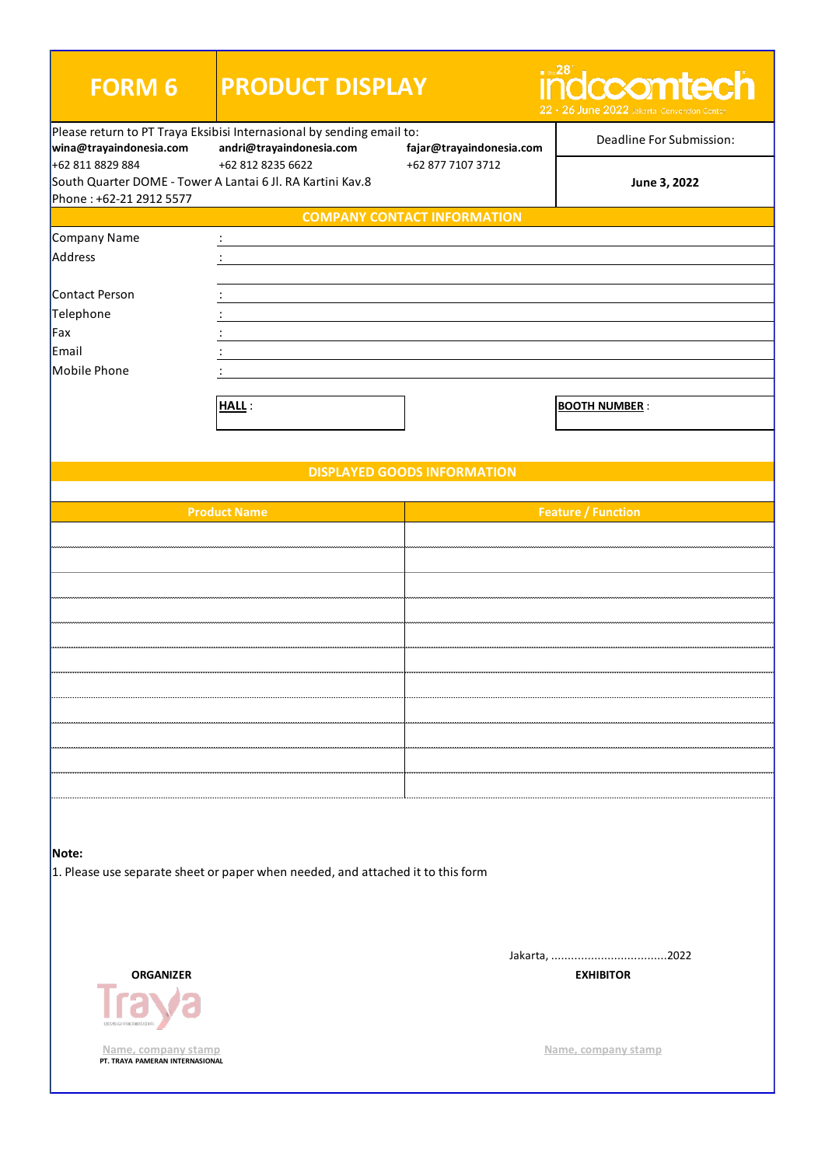| <b>FORM 6</b>                                          | <b>PRODUCT DISPLAY</b>                                                                            |                                    | $\blacksquare$ the $28^\circ$<br><u>idccomtech</u><br>22 - 26 June 2022 Jakarta Conventio |  |
|--------------------------------------------------------|---------------------------------------------------------------------------------------------------|------------------------------------|-------------------------------------------------------------------------------------------|--|
| wina@trayaindonesia.com                                | Please return to PT Traya Eksibisi Internasional by sending email to:<br>andri@trayaindonesia.com | fajar@trayaindonesia.com           | Deadline For Submission:                                                                  |  |
| +62 811 8829 884<br>Phone: +62-21 2912 5577            | +62 812 8235 6622<br>South Quarter DOME - Tower A Lantai 6 Jl. RA Kartini Kav.8                   | +62 877 7107 3712                  | June 3, 2022                                                                              |  |
|                                                        |                                                                                                   | <b>COMPANY CONTACT INFORMATION</b> |                                                                                           |  |
| Company Name                                           | ÷                                                                                                 |                                    |                                                                                           |  |
| Address                                                |                                                                                                   |                                    |                                                                                           |  |
|                                                        |                                                                                                   |                                    |                                                                                           |  |
| Contact Person                                         |                                                                                                   |                                    |                                                                                           |  |
| Telephone                                              |                                                                                                   |                                    |                                                                                           |  |
| Fax                                                    |                                                                                                   |                                    |                                                                                           |  |
| Email                                                  |                                                                                                   |                                    |                                                                                           |  |
| Mobile Phone                                           |                                                                                                   |                                    |                                                                                           |  |
|                                                        | <b>HALL:</b>                                                                                      |                                    | <b>BOOTH NUMBER:</b>                                                                      |  |
|                                                        |                                                                                                   |                                    |                                                                                           |  |
|                                                        |                                                                                                   |                                    |                                                                                           |  |
|                                                        |                                                                                                   | <b>DISPLAYED GOODS INFORMATION</b> |                                                                                           |  |
|                                                        | <b>Product Name</b>                                                                               |                                    | <b>Feature / Function</b>                                                                 |  |
|                                                        |                                                                                                   |                                    |                                                                                           |  |
|                                                        |                                                                                                   |                                    |                                                                                           |  |
|                                                        |                                                                                                   |                                    |                                                                                           |  |
|                                                        |                                                                                                   |                                    |                                                                                           |  |
|                                                        |                                                                                                   |                                    |                                                                                           |  |
|                                                        |                                                                                                   |                                    |                                                                                           |  |
|                                                        |                                                                                                   |                                    |                                                                                           |  |
|                                                        |                                                                                                   |                                    |                                                                                           |  |
|                                                        |                                                                                                   |                                    |                                                                                           |  |
|                                                        |                                                                                                   |                                    |                                                                                           |  |
|                                                        |                                                                                                   |                                    |                                                                                           |  |
|                                                        |                                                                                                   |                                    |                                                                                           |  |
| Note:                                                  | 1. Please use separate sheet or paper when needed, and attached it to this form                   |                                    |                                                                                           |  |
|                                                        |                                                                                                   |                                    |                                                                                           |  |
|                                                        |                                                                                                   |                                    |                                                                                           |  |
|                                                        |                                                                                                   |                                    |                                                                                           |  |
| <b>ORGANIZER</b>                                       |                                                                                                   |                                    | <b>EXHIBITOR</b>                                                                          |  |
| Name, company stamp<br>PT. TRAYA PAMERAN INTERNASIONAL |                                                                                                   |                                    | Name, company stamp                                                                       |  |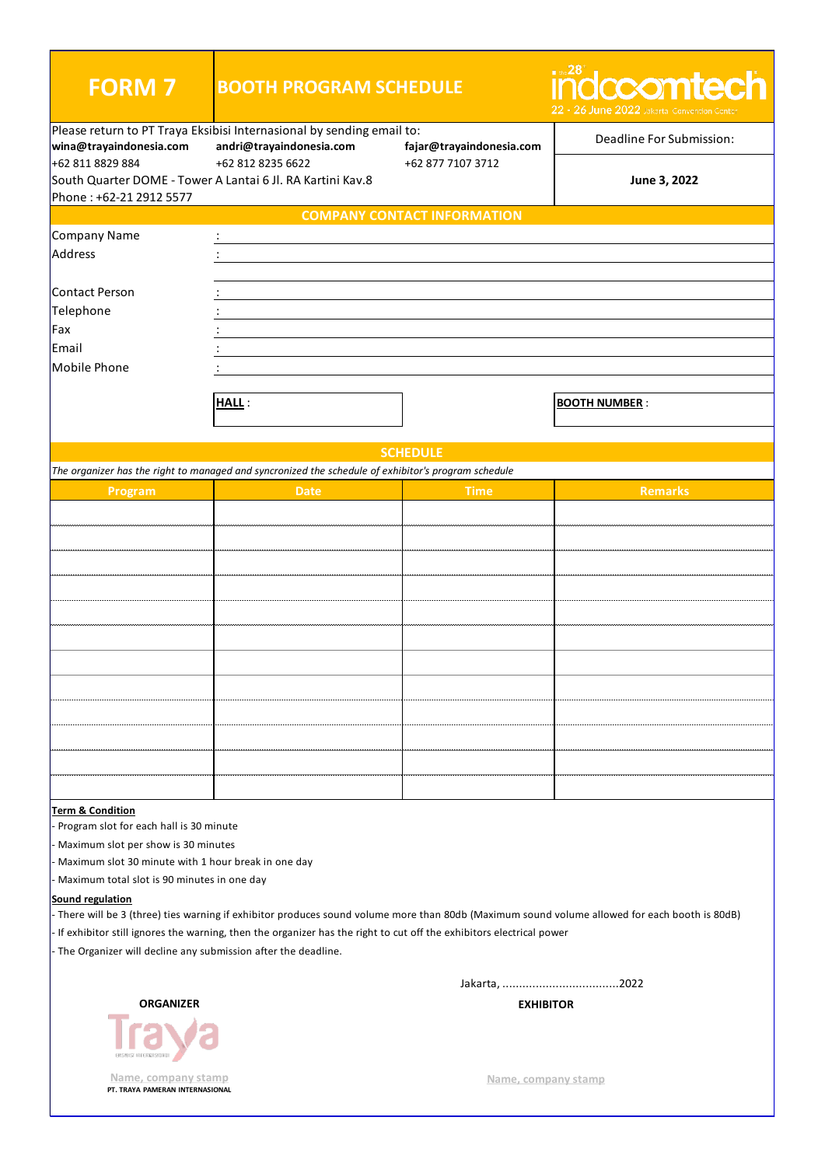| <b>FORM 7</b>                                                                                                                                            | <b>BOOTH PROGRAM SCHEDULE</b>                                                                        |                                    | $\blacksquare$ the $28^\circ$<br>ñdccomtech<br>22 - 26 June 2022 Jakarta Conventi |
|----------------------------------------------------------------------------------------------------------------------------------------------------------|------------------------------------------------------------------------------------------------------|------------------------------------|-----------------------------------------------------------------------------------|
| Please return to PT Traya Eksibisi Internasional by sending email to:<br>andri@trayaindonesia.com<br>wina@trayaindonesia.com<br>fajar@trayaindonesia.com |                                                                                                      |                                    | Deadline For Submission:                                                          |
| +62 811 8829 884<br>Phone: +62-21 2912 5577                                                                                                              | +62 812 8235 6622<br>+62 877 7107 3712<br>South Quarter DOME - Tower A Lantai 6 Jl. RA Kartini Kav.8 |                                    | June 3, 2022                                                                      |
|                                                                                                                                                          |                                                                                                      | <b>COMPANY CONTACT INFORMATION</b> |                                                                                   |
| Company Name                                                                                                                                             |                                                                                                      |                                    |                                                                                   |
| Address                                                                                                                                                  |                                                                                                      |                                    |                                                                                   |
| Contact Person                                                                                                                                           |                                                                                                      |                                    |                                                                                   |
| Telephone                                                                                                                                                |                                                                                                      |                                    |                                                                                   |
| Fax                                                                                                                                                      |                                                                                                      |                                    |                                                                                   |
| Email                                                                                                                                                    |                                                                                                      |                                    |                                                                                   |
| Mobile Phone                                                                                                                                             |                                                                                                      |                                    |                                                                                   |
|                                                                                                                                                          | <b>HALL:</b>                                                                                         |                                    | <b>BOOTH NUMBER:</b>                                                              |
|                                                                                                                                                          |                                                                                                      |                                    |                                                                                   |
|                                                                                                                                                          |                                                                                                      | <b>SCHEDULE</b>                    |                                                                                   |
|                                                                                                                                                          | The organizer has the right to managed and syncronized the schedule of exhibitor's program schedule  |                                    |                                                                                   |
| Program                                                                                                                                                  | <b>Date</b>                                                                                          | <b>Time</b>                        | <b>Remarks</b>                                                                    |
|                                                                                                                                                          |                                                                                                      |                                    |                                                                                   |
|                                                                                                                                                          |                                                                                                      |                                    |                                                                                   |
|                                                                                                                                                          |                                                                                                      |                                    |                                                                                   |
|                                                                                                                                                          |                                                                                                      |                                    |                                                                                   |
|                                                                                                                                                          |                                                                                                      |                                    |                                                                                   |
|                                                                                                                                                          |                                                                                                      |                                    |                                                                                   |
|                                                                                                                                                          |                                                                                                      |                                    |                                                                                   |
|                                                                                                                                                          |                                                                                                      |                                    |                                                                                   |
|                                                                                                                                                          |                                                                                                      |                                    |                                                                                   |
|                                                                                                                                                          |                                                                                                      |                                    |                                                                                   |
|                                                                                                                                                          |                                                                                                      |                                    |                                                                                   |
|                                                                                                                                                          |                                                                                                      |                                    |                                                                                   |
| <b>Term &amp; Condition</b><br>Program slot for each hall is 30 minute                                                                                   |                                                                                                      |                                    |                                                                                   |

- Maximum slot per show is 30 minutes

- Maximum slot 30 minute with 1 hour break in one day

- Maximum total slot is 90 minutes in one day

## **Sound regulation**

- There will be 3 (three) ties warning if exhibitor produces sound volume more than 80db (Maximum sound volume allowed for each booth is 80dB)

- If exhibitor still ignores the warning, then the organizer has the right to cut off the exhibitors electrical power

- The Organizer will decline any submission after the deadline.

Jakarta, ...................................2022

**EXHIBITOR**



**Name, company stamp**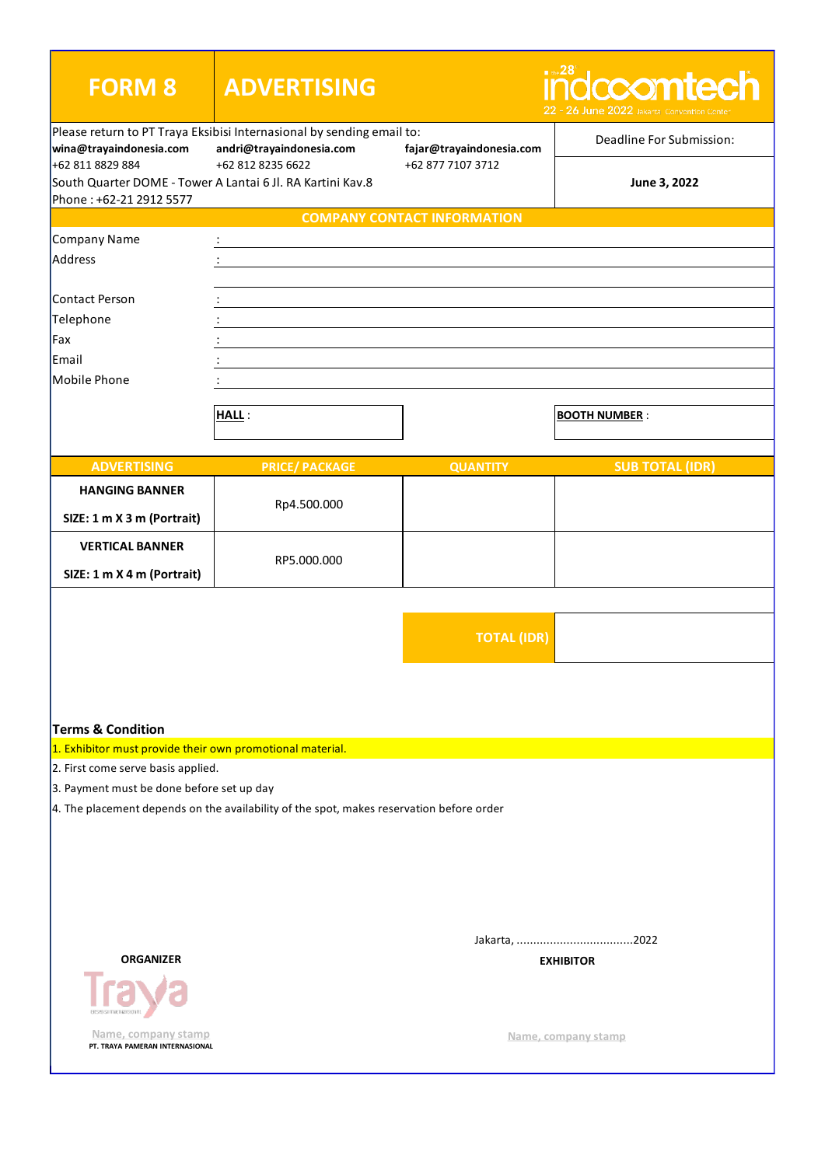| <b>FORM 8</b>                                                                                             | <b>ADVERTISING</b>                                                                                |                                    | $\blacksquare$ the $28^\circ$<br>ccomtech<br>- 26 June 2022 Jakarta Convention Cente |
|-----------------------------------------------------------------------------------------------------------|---------------------------------------------------------------------------------------------------|------------------------------------|--------------------------------------------------------------------------------------|
| wina@trayaindonesia.com                                                                                   | Please return to PT Traya Eksibisi Internasional by sending email to:<br>andri@trayaindonesia.com | fajar@trayaindonesia.com           | Deadline For Submission:                                                             |
| +62 811 8829 884<br>South Quarter DOME - Tower A Lantai 6 Jl. RA Kartini Kav.8<br>Phone: +62-21 2912 5577 | +62 812 8235 6622                                                                                 | +62 877 7107 3712                  | June 3, 2022                                                                         |
|                                                                                                           |                                                                                                   | <b>COMPANY CONTACT INFORMATION</b> |                                                                                      |
| Company Name                                                                                              |                                                                                                   |                                    |                                                                                      |
| Address                                                                                                   |                                                                                                   |                                    |                                                                                      |
|                                                                                                           |                                                                                                   |                                    |                                                                                      |
| Contact Person                                                                                            |                                                                                                   |                                    |                                                                                      |
| Telephone                                                                                                 |                                                                                                   |                                    |                                                                                      |
| Fax                                                                                                       |                                                                                                   |                                    |                                                                                      |
| Email                                                                                                     |                                                                                                   |                                    |                                                                                      |
| Mobile Phone                                                                                              |                                                                                                   |                                    |                                                                                      |
|                                                                                                           |                                                                                                   |                                    |                                                                                      |
|                                                                                                           | HALL:                                                                                             |                                    | <b>BOOTH NUMBER:</b>                                                                 |
|                                                                                                           |                                                                                                   |                                    |                                                                                      |
| <b>ADVERTISING</b>                                                                                        | <b>PRICE/ PACKAGE</b>                                                                             | <b>QUANTITY</b>                    | <b>SUB TOTAL (IDR)</b>                                                               |
| <b>HANGING BANNER</b>                                                                                     |                                                                                                   |                                    |                                                                                      |
|                                                                                                           | Rp4.500.000                                                                                       |                                    |                                                                                      |
| SIZE: 1 m X 3 m (Portrait)                                                                                |                                                                                                   |                                    |                                                                                      |
| <b>VERTICAL BANNER</b>                                                                                    |                                                                                                   |                                    |                                                                                      |
| SIZE: 1 m X 4 m (Portrait)                                                                                | RP5.000.000                                                                                       |                                    |                                                                                      |
|                                                                                                           |                                                                                                   |                                    |                                                                                      |
|                                                                                                           |                                                                                                   |                                    |                                                                                      |
|                                                                                                           |                                                                                                   | <b>TOTAL (IDR)</b>                 |                                                                                      |
|                                                                                                           |                                                                                                   |                                    |                                                                                      |
| <b>Terms &amp; Condition</b>                                                                              |                                                                                                   |                                    |                                                                                      |
| 1. Exhibitor must provide their own promotional material.                                                 |                                                                                                   |                                    |                                                                                      |
| 2. First come serve basis applied.                                                                        |                                                                                                   |                                    |                                                                                      |
| 3. Payment must be done before set up day                                                                 |                                                                                                   |                                    |                                                                                      |
|                                                                                                           | $\vert$ 4. The placement depends on the availability of the spot, makes reservation before order  |                                    |                                                                                      |
|                                                                                                           |                                                                                                   |                                    |                                                                                      |
|                                                                                                           |                                                                                                   |                                    |                                                                                      |
|                                                                                                           |                                                                                                   |                                    |                                                                                      |
|                                                                                                           |                                                                                                   |                                    |                                                                                      |
|                                                                                                           |                                                                                                   |                                    |                                                                                      |
|                                                                                                           |                                                                                                   |                                    |                                                                                      |
| <b>ORGANIZER</b>                                                                                          |                                                                                                   |                                    | <b>EXHIBITOR</b>                                                                     |
|                                                                                                           |                                                                                                   |                                    |                                                                                      |
| Name, company stamp<br>PT. TRAYA PAMERAN INTERNASIONAL                                                    |                                                                                                   |                                    | Name, company stamp                                                                  |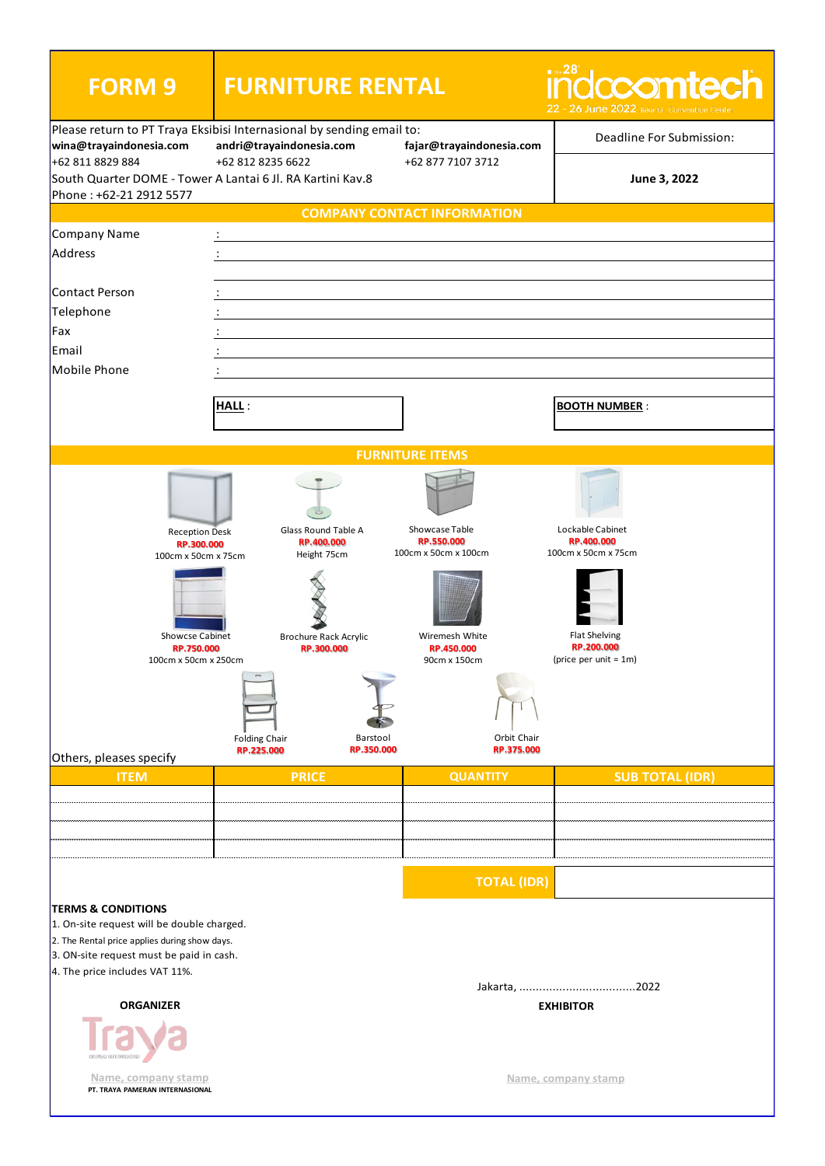| <b>FORM 9</b>                                                                                    | <b>FURNITURE RENTAL</b>                    |                                              | $\blacksquare$ the 28<br>ccomtech<br>22 - 26 June 2022 Jakarta Convention |
|--------------------------------------------------------------------------------------------------|--------------------------------------------|----------------------------------------------|---------------------------------------------------------------------------|
| Please return to PT Traya Eksibisi Internasional by sending email to:<br>wina@trayaindonesia.com | andri@trayaindonesia.com                   | fajar@trayaindonesia.com                     | Deadline For Submission:                                                  |
| +62 811 8829 884<br>South Quarter DOME - Tower A Lantai 6 Jl. RA Kartini Kav.8                   | +62 812 8235 6622                          | +62 877 7107 3712                            | June 3, 2022                                                              |
| Phone: +62-21 2912 5577                                                                          |                                            |                                              |                                                                           |
|                                                                                                  |                                            | <b>COMPANY CONTACT INFORMATION</b>           |                                                                           |
| Company Name                                                                                     |                                            |                                              |                                                                           |
| Address                                                                                          |                                            |                                              |                                                                           |
| Contact Person                                                                                   |                                            |                                              |                                                                           |
| Telephone                                                                                        |                                            |                                              |                                                                           |
| Fax                                                                                              |                                            |                                              |                                                                           |
| Email                                                                                            |                                            |                                              |                                                                           |
| Mobile Phone                                                                                     |                                            |                                              |                                                                           |
|                                                                                                  |                                            |                                              |                                                                           |
|                                                                                                  | <b>HALL:</b>                               |                                              | <b>BOOTH NUMBER:</b>                                                      |
|                                                                                                  |                                            |                                              |                                                                           |
|                                                                                                  |                                            | <b>FURNITURE ITEMS</b>                       |                                                                           |
|                                                                                                  |                                            |                                              |                                                                           |
| <b>Reception Desk</b>                                                                            | Glass Round Table A                        | Showcase Table                               | Lockable Cabinet                                                          |
| RP.300.000<br>100cm x 50cm x 75cm                                                                | RP.400.000<br>Height 75cm                  | RP.550.000<br>100cm x 50cm x 100cm           | RP.400.000<br>100cm x 50cm x 75cm                                         |
| Showcse Cabinet<br>RP.750.000<br>100cm x 50cm x 250cm                                            | <b>Brochure Rack Acrylic</b><br>RP.300.000 | Wiremesh White<br>RP.450.000<br>90cm x 150cm | <b>Flat Shelving</b><br>RP.200.000<br>(price per unit = $1m$ )            |
|                                                                                                  | <b>Folding Chair</b><br>RP.225.000         | Barstool<br>RP.350.000                       | Orbit Chair<br>RP.375.000                                                 |
| Others, pleases specify<br><b>ITEM</b>                                                           | <b>PRICE</b>                               | <b>QUANTITY</b>                              | <b>SUB TOTAL (IDR)</b>                                                    |
|                                                                                                  |                                            |                                              |                                                                           |
|                                                                                                  |                                            |                                              |                                                                           |
|                                                                                                  |                                            |                                              |                                                                           |
|                                                                                                  |                                            |                                              |                                                                           |
|                                                                                                  |                                            |                                              | <b>TOTAL (IDR)</b>                                                        |
| <b>TERMS &amp; CONDITIONS</b>                                                                    |                                            |                                              |                                                                           |
| 1. On-site request will be double charged.                                                       |                                            |                                              |                                                                           |
| 2. The Rental price applies during show days.<br>3. ON-site request must be paid in cash.        |                                            |                                              |                                                                           |
| 4. The price includes VAT 11%.                                                                   |                                            |                                              |                                                                           |
|                                                                                                  |                                            |                                              |                                                                           |
| <b>ORGANIZER</b>                                                                                 |                                            |                                              | <b>EXHIBITOR</b>                                                          |
| Name, company stamp<br>PT. TRAYA PAMERAN INTERNASIONAL                                           |                                            |                                              | Name, company stamp                                                       |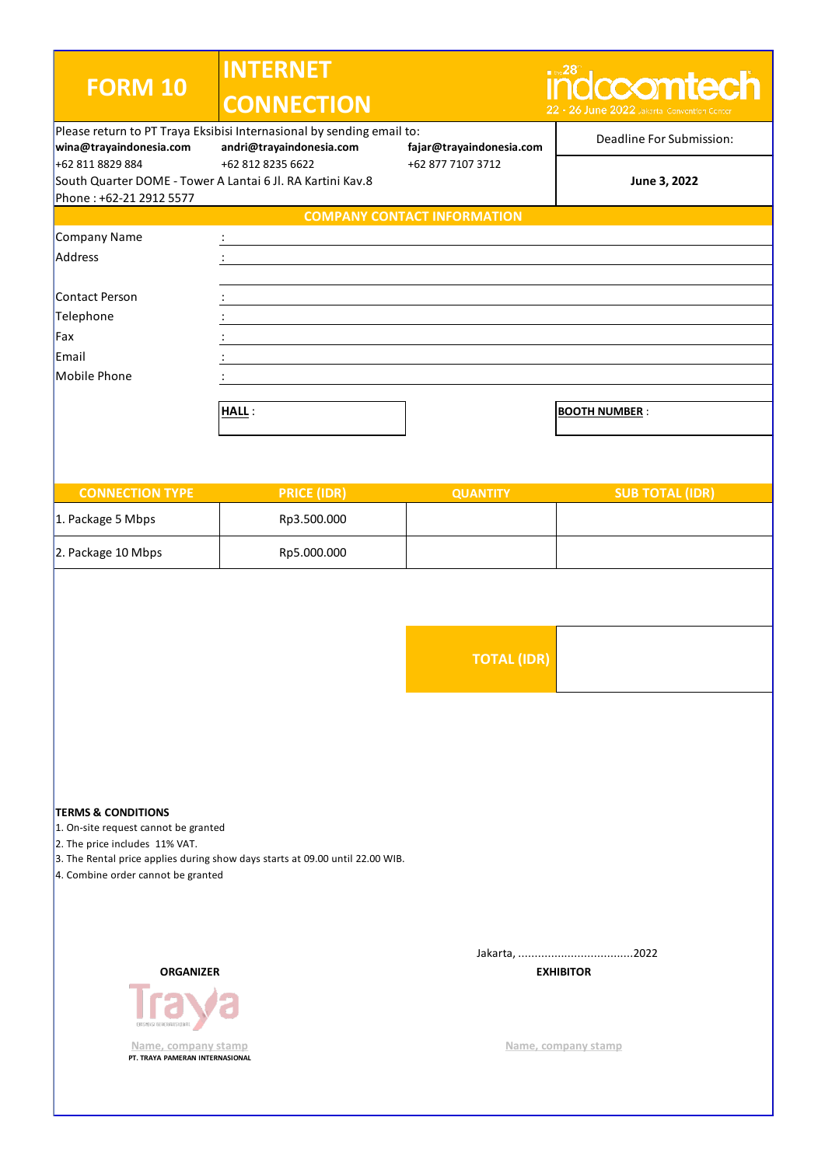| <b>FORM 10</b>                                                                                                                                | <b>INTERNET</b>                                                                                                        |                                               | indccomtech                                 |
|-----------------------------------------------------------------------------------------------------------------------------------------------|------------------------------------------------------------------------------------------------------------------------|-----------------------------------------------|---------------------------------------------|
|                                                                                                                                               | <b>CONNECTION</b>                                                                                                      |                                               | 22 - 26 June 2022 Jakarta Convention Center |
| wina@trayaindonesia.com<br>+62 811 8829 884                                                                                                   | Please return to PT Traya Eksibisi Internasional by sending email to:<br>andri@trayaindonesia.com<br>+62 812 8235 6622 | fajar@trayaindonesia.com<br>+62 877 7107 3712 | Deadline For Submission:                    |
| South Quarter DOME - Tower A Lantai 6 Jl. RA Kartini Kav.8                                                                                    |                                                                                                                        |                                               | June 3, 2022                                |
| Phone: +62-21 2912 5577                                                                                                                       |                                                                                                                        | <b>COMPANY CONTACT INFORMATION</b>            |                                             |
| Company Name                                                                                                                                  |                                                                                                                        |                                               |                                             |
| Address                                                                                                                                       |                                                                                                                        |                                               |                                             |
|                                                                                                                                               |                                                                                                                        |                                               |                                             |
| Contact Person                                                                                                                                |                                                                                                                        |                                               |                                             |
| Telephone                                                                                                                                     |                                                                                                                        |                                               |                                             |
| Fax                                                                                                                                           |                                                                                                                        |                                               |                                             |
| Email                                                                                                                                         |                                                                                                                        |                                               |                                             |
| Mobile Phone                                                                                                                                  |                                                                                                                        |                                               |                                             |
|                                                                                                                                               | <b>HALL:</b>                                                                                                           |                                               | <b>BOOTH NUMBER:</b>                        |
|                                                                                                                                               |                                                                                                                        |                                               |                                             |
|                                                                                                                                               |                                                                                                                        |                                               |                                             |
|                                                                                                                                               |                                                                                                                        |                                               |                                             |
| <b>CONNECTION TYPE</b>                                                                                                                        | <b>PRICE (IDR)</b>                                                                                                     | <b>QUANTITY</b>                               | <b>SUB TOTAL (IDR)</b>                      |
| 1. Package 5 Mbps                                                                                                                             | Rp3.500.000                                                                                                            |                                               |                                             |
| 2. Package 10 Mbps                                                                                                                            | Rp5.000.000                                                                                                            |                                               |                                             |
|                                                                                                                                               |                                                                                                                        |                                               |                                             |
|                                                                                                                                               |                                                                                                                        | <b>TOTAL (IDR)</b>                            |                                             |
|                                                                                                                                               |                                                                                                                        |                                               |                                             |
|                                                                                                                                               |                                                                                                                        |                                               |                                             |
| <b>TERMS &amp; CONDITIONS</b><br>1. On-site request cannot be granted<br>2. The price includes 11% VAT.<br>4. Combine order cannot be granted | 3. The Rental price applies during show days starts at 09.00 until 22.00 WIB.                                          |                                               |                                             |
| <b>ORGANIZER</b>                                                                                                                              |                                                                                                                        |                                               | <b>EXHIBITOR</b>                            |
| Name, company stamp<br>PT. TRAYA PAMERAN INTERNASIONAL                                                                                        |                                                                                                                        |                                               | Name, company stamp                         |